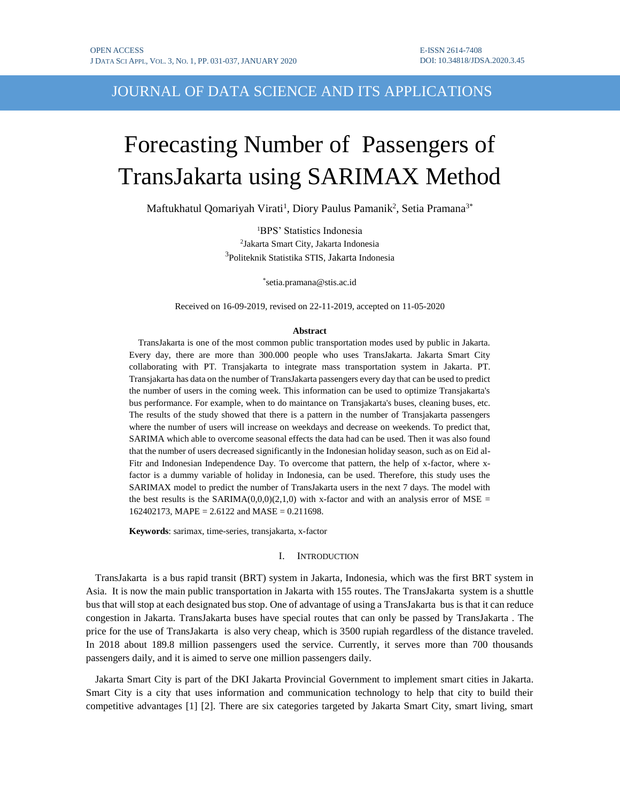# JOURNAL OF DATA SCIENCE AND ITS APPLICATIONS

# Forecasting Number of Passengers of TransJakarta using SARIMAX Method

Maftukhatul Qomariyah Virati<sup>1</sup>, Diory Paulus Pamanik<sup>2</sup>, Setia Pramana<sup>3\*</sup>

<sup>1</sup>BPS' Statistics Indonesia 2 Jakarta Smart City, Jakarta Indonesia 3 Politeknik Statistika STIS, Jakarta Indonesia

\* setia.pramana@stis.ac.id

Received on 16-09-2019, revised on 22-11-2019, accepted on 11-05-2020

#### **Abstract**

TransJakarta is one of the most common public transportation modes used by public in Jakarta. Every day, there are more than 300.000 people who uses TransJakarta. Jakarta Smart City collaborating with PT. Transjakarta to integrate mass transportation system in Jakarta. PT. Transjakarta has data on the number of TransJakarta passengers every day that can be used to predict the number of users in the coming week. This information can be used to optimize Transjakarta's bus performance. For example, when to do maintance on Transjakarta's buses, cleaning buses, etc. The results of the study showed that there is a pattern in the number of Transjakarta passengers where the number of users will increase on weekdays and decrease on weekends. To predict that, SARIMA which able to overcome seasonal effects the data had can be used. Then it was also found that the number of users decreased significantly in the Indonesian holiday season, such as on Eid al-Fitr and Indonesian Independence Day. To overcome that pattern, the help of x-factor, where xfactor is a dummy variable of holiday in Indonesia, can be used. Therefore, this study uses the SARIMAX model to predict the number of TransJakarta users in the next 7 days. The model with the best results is the SARIMA( $0,0,0$ )( $2,1,0$ ) with x-factor and with an analysis error of MSE = 162402173, MAPE = 2.6122 and MASE = 0.211698.

**Keywords**: sarimax, time-series, transjakarta, x-factor

#### I. INTRODUCTION

TransJakarta is a [bus rapid transit](https://en.wikipedia.org/wiki/Bus_rapid_transit) (BRT) system in [Jakarta,](https://en.wikipedia.org/wiki/Jakarta) [Indonesia,](https://en.wikipedia.org/wiki/Indonesia) which was the first BRT system in Asia. It is now the main public transportation in Jakarta with 155 routes. The TransJakarta system is a shuttle bus that will stop at each designated bus stop. One of advantage of using a TransJakarta bus is that it can reduce congestion in Jakarta. TransJakarta buses have special routes that can only be passed by TransJakarta . The price for the use of TransJakarta is also very cheap, which is 3500 rupiah regardless of the distance traveled. In 2018 about 189.8 million passengers used the service. Currently, it serves more than 700 thousands passengers daily, and it is aimed to serve one million passengers daily.

Jakarta Smart City is part of the DKI Jakarta Provincial Government to implement smart cities in Jakarta. Smart City is a city that uses information and communication technology to help that city to build their competitive advantages [1] [2]. There are six categories targeted by Jakarta Smart City, smart living, smart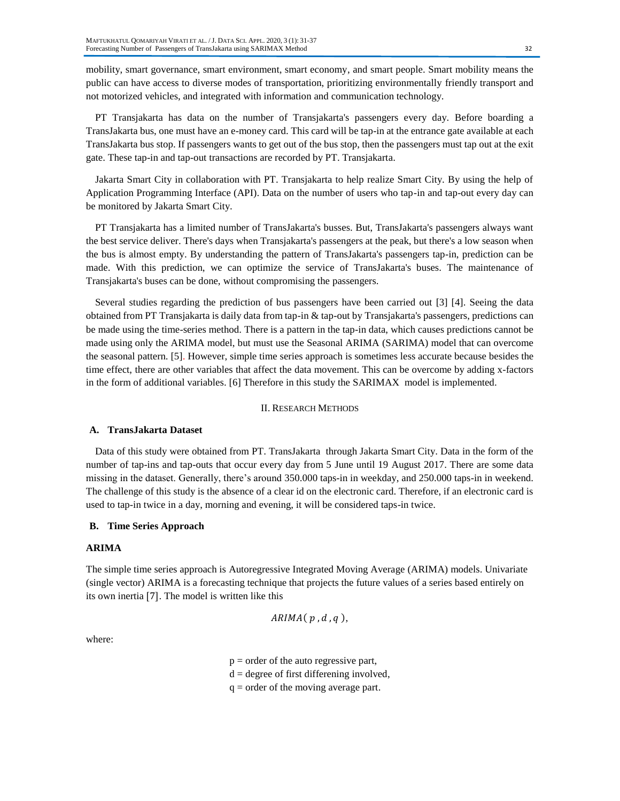mobility, smart governance, smart environment, smart economy, and smart people. Smart mobility means the public can have access to diverse modes of transportation, prioritizing environmentally friendly transport and not motorized vehicles, and integrated with information and communication technology.

PT Transjakarta has data on the number of Transjakarta's passengers every day. Before boarding a TransJakarta bus, one must have an e-money card. This card will be tap-in at the entrance gate available at each TransJakarta bus stop. If passengers wants to get out of the bus stop, then the passengers must tap out at the exit gate. These tap-in and tap-out transactions are recorded by PT. Transjakarta.

Jakarta Smart City in collaboration with PT. Transjakarta to help realize Smart City. By using the help of Application Programming Interface (API). Data on the number of users who tap-in and tap-out every day can be monitored by Jakarta Smart City.

PT Transjakarta has a limited number of TransJakarta's busses. But, TransJakarta's passengers always want the best service deliver. There's days when Transjakarta's passengers at the peak, but there's a low season when the bus is almost empty. By understanding the pattern of TransJakarta's passengers tap-in, prediction can be made. With this prediction, we can optimize the service of TransJakarta's buses. The maintenance of Transjakarta's buses can be done, without compromising the passengers.

Several studies regarding the prediction of bus passengers have been carried out [3] [4]. Seeing the data obtained from PT Transjakarta is daily data from tap-in & tap-out by Transjakarta's passengers, predictions can be made using the time-series method. There is a pattern in the tap-in data, which causes predictions cannot be made using only the ARIMA model, but must use the Seasonal ARIMA (SARIMA) model that can overcome the seasonal pattern. [5]. However, simple time series approach is sometimes less accurate because besides the time effect, there are other variables that affect the data movement. This can be overcome by adding x-factors in the form of additional variables. [6] Therefore in this study the SARIMAX model is implemented.

#### II. RESEARCH METHODS

# **A. TransJakarta Dataset**

Data of this study were obtained from PT. TransJakarta through Jakarta Smart City. Data in the form of the number of tap-ins and tap-outs that occur every day from 5 June until 19 August 2017. There are some data missing in the dataset. Generally, there's around 350.000 taps-in in weekday, and 250.000 taps-in in weekend. The challenge of this study is the absence of a clear id on the electronic card. Therefore, if an electronic card is used to tap-in twice in a day, morning and evening, it will be considered taps-in twice.

# **B. Time Series Approach**

# **ARIMA**

The simple time series approach is Autoregressive Integrated Moving Average (ARIMA) models. Univariate (single vector) ARIMA is a forecasting technique that projects the future values of a series based entirely on its own inertia [7]. The model is written like this

$$
ARIMA(p,d,q),
$$

where:

 $p =$  order of the auto regressive part,

 $d = degree of first differening involved,$ 

 $q =$  order of the moving average part.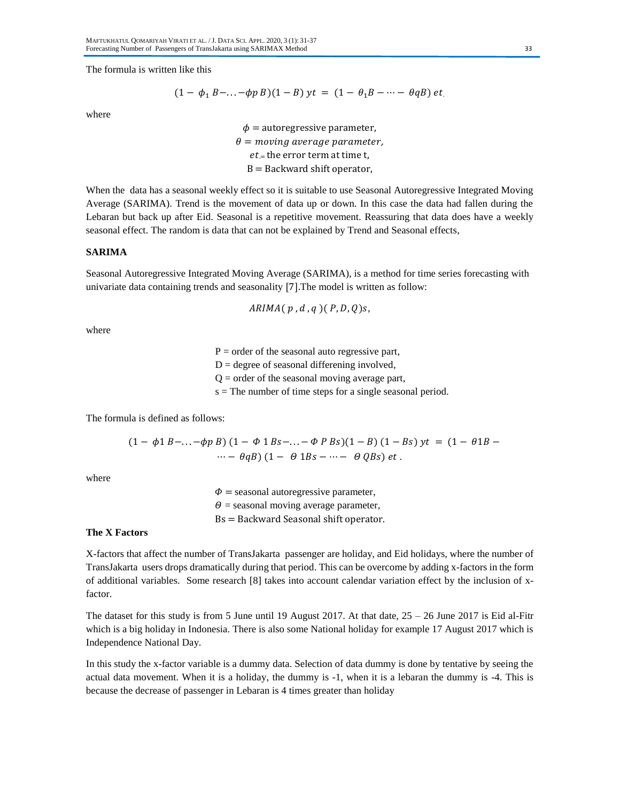The formula is written like this

$$
(1 - \phi_1 B - \ldots - \phi p B)(1 - B) yt = (1 - \theta_1 B - \cdots - \theta q B) et
$$

where

 $\phi$  = autoregressive parameter,  $\theta =$  moving average parameter,  $et =$  the error term at time t,  $B =$  Backward shift operator,

When the data has a seasonal weekly effect so it is suitable to use Seasonal Autoregressive Integrated Moving Average (SARIMA). Trend is the movement of data up or down. In this case the data had fallen during the Lebaran but back up after Eid. Seasonal is a repetitive movement. Reassuring that data does have a weekly seasonal effect. The random is data that can not be explained by Trend and Seasonal effects,

#### **SARIMA**

Seasonal Autoregressive Integrated Moving Average (SARIMA), is a method for time series forecasting with univariate data containing trends and seasonality [7].The model is written as follow:

( , , )( ,,),

where

 $P =$  order of the seasonal auto regressive part,  $D = degree of seasonal differening involved,$  $Q =$  order of the seasonal moving average part,  $s =$ The number of time steps for a single seasonal period.

The formula is defined as follows:

$$
(1 - \phi 1 B - \dots - \phi p B) (1 - \phi 1 B s - \dots - \phi P B s) (1 - B) (1 - B s) y t = (1 - \theta 1 B - \dots - \theta q B) (1 - \theta 1 B s - \dots - \theta Q B s) et.
$$

where

 $\Phi$  = seasonal autoregressive parameter,  $\theta$  = seasonal moving average parameter, Bs= Backward Seasonal shift operator.

# **The X Factors**

X-factors that affect the number of TransJakarta passenger are holiday, and Eid holidays, where the number of TransJakarta users drops dramatically during that period. This can be overcome by adding x-factors in the form of additional variables. Some research [8] takes into account calendar variation effect by the inclusion of xfactor.

The dataset for this study is from 5 June until 19 August 2017. At that date, 25 – 26 June 2017 is Eid al-Fitr which is a big holiday in Indonesia. There is also some National holiday for example 17 August 2017 which is Independence National Day.

In this study the x-factor variable is a dummy data. Selection of data dummy is done by tentative by seeing the actual data movement. When it is a holiday, the dummy is -1, when it is a lebaran the dummy is -4. This is because the decrease of passenger in Lebaran is 4 times greater than holiday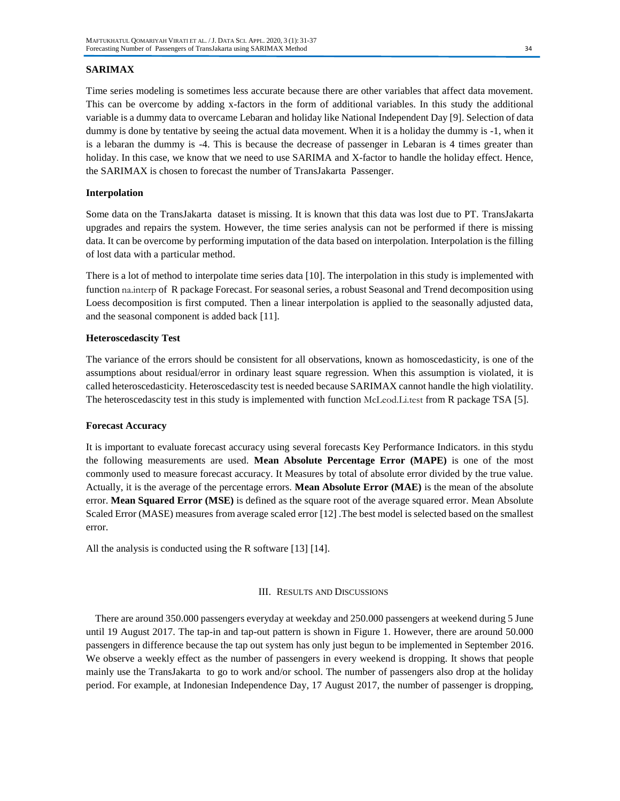# **SARIMAX**

Time series modeling is sometimes less accurate because there are other variables that affect data movement. This can be overcome by adding x-factors in the form of additional variables. In this study the additional variable is a dummy data to overcame Lebaran and holiday like National Independent Day [9]. Selection of data dummy is done by tentative by seeing the actual data movement. When it is a holiday the dummy is -1, when it is a lebaran the dummy is -4. This is because the decrease of passenger in Lebaran is 4 times greater than holiday. In this case, we know that we need to use SARIMA and X-factor to handle the holiday effect. Hence, the SARIMAX is chosen to forecast the number of TransJakarta Passenger.

## **Interpolation**

Some data on the TransJakarta dataset is missing. It is known that this data was lost due to PT. TransJakarta upgrades and repairs the system. However, the time series analysis can not be performed if there is missing data. It can be overcome by performing imputation of the data based on interpolation. Interpolation is the filling of lost data with a particular method.

There is a lot of method to interpolate time series data [10]. The interpolation in this study is implemented with function na.interp of R package Forecast. For seasonal series, a robust Seasonal and Trend decomposition using Loess decomposition is first computed. Then a linear interpolation is applied to the seasonally adjusted data, and the seasonal component is added back [11].

### **Heteroscedascity Test**

The variance of the errors should be consistent for all observations, known as homoscedasticity, is one of the assumptions about residual/error in ordinary least square regression. When this assumption is violated, it is called heteroscedasticity. Heteroscedascity test is needed because SARIMAX cannot handle the high violatility. The heteroscedascity test in this study is implemented with function McLeod.Li.test from R package TSA [5].

#### **Forecast Accuracy**

It is important to evaluate forecast accuracy using several forecasts Key Performance Indicators. in this stydu the following measurements are used. **Mean Absolute Percentage Error (MAPE)** is one of the most commonly used to measure forecast accuracy. It Measures by total of absolute error divided by the true value. Actually, it is the average of the percentage errors. **Mean Absolute Error (MAE)** is the mean of the absolute error. **Mean Squared Error (MSE)** is defined as the square root of the average squared error. Mean Absolute Scaled Error (MASE) measures from average scaled error [12] .The best model is selected based on the smallest error.

All the analysis is conducted using the R software [13] [14].

### III. RESULTS AND DISCUSSIONS

There are around 350.000 passengers everyday at weekday and 250.000 passengers at weekend during 5 June until 19 August 2017. The tap-in and tap-out pattern is shown in Figure 1. However, there are around 50.000 passengers in difference because the tap out system has only just begun to be implemented in September 2016. We observe a weekly effect as the number of passengers in every weekend is dropping. It shows that people mainly use the TransJakarta to go to work and/or school. The number of passengers also drop at the holiday period. For example, at Indonesian Independence Day, 17 August 2017, the number of passenger is dropping,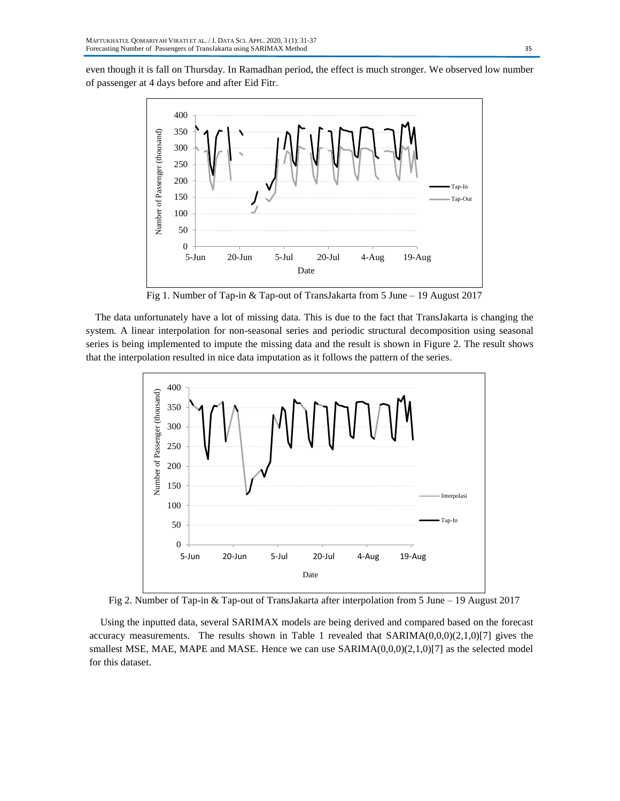even though it is fall on Thursday. In Ramadhan period, the effect is much stronger. We observed low number of passenger at 4 days before and after Eid Fitr.



Fig 1. Number of Tap-in & Tap-out of TransJakarta from 5 June – 19 August 2017

The data unfortunately have a lot of missing data. This is due to the fact that TransJakarta is changing the system. A linear interpolation for non-seasonal series and periodic structural decomposition using seasonal series is being implemented to impute the missing data and the result is shown in Figure 2. The result shows that the interpolation resulted in nice data imputation as it follows the pattern of the series.



Fig 2. Number of Tap-in & Tap-out of TransJakarta after interpolation from 5 June – 19 August 2017

Using the inputted data, several SARIMAX models are being derived and compared based on the forecast accuracy measurements. The results shown in Table 1 revealed that  $SARIMA(0,0,0)(2,1,0)[7]$  gives the smallest MSE, MAE, MAPE and MASE. Hence we can use SARIMA(0,0,0)(2,1,0)[7] as the selected model for this dataset.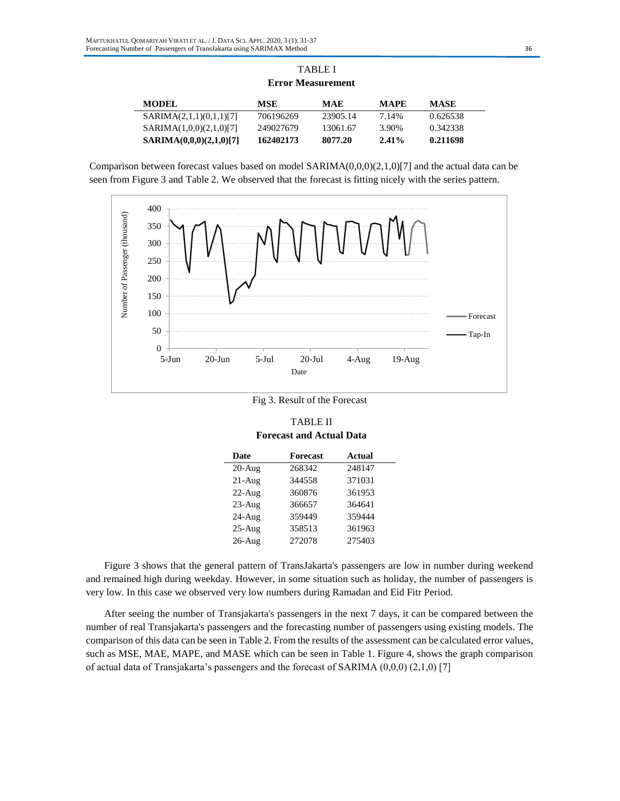| <b>Error Measurement</b> |            |            |             |             |  |
|--------------------------|------------|------------|-------------|-------------|--|
| <b>MODEL</b>             | <b>MSE</b> | <b>MAE</b> | <b>MAPE</b> | <b>MASE</b> |  |
| SARIMA(2,1,1)(0,1,1)[7]  | 706196269  | 23905.14   | 7.14%       | 0.626538    |  |
| SARIMA(1,0,0)(2,1,0)[7]  | 249027679  | 13061.67   | 3.90%       | 0.342338    |  |
| SARIMA(0,0,0)(2,1,0)[7]  | 162402173  | 8077.20    | $2.41\%$    | 0.211698    |  |

TABLE I

| Comparison between forecast values based on model $SARIMA(0,0,0)(2,1,0)[7]$ and the actual data can be   |  |
|----------------------------------------------------------------------------------------------------------|--|
| seen from Figure 3 and Table 2. We observed that the forecast is fitting nicely with the series pattern. |  |



# Fig 3. Result of the Forecast

# TABLE II **Forecast and Actual Data**

| Date      | <b>Forecast</b> | Actual |
|-----------|-----------------|--------|
| $20-Aug$  | 268342          | 248147 |
| $21-Au$ g | 344558          | 371031 |
| $22-Au$ g | 360876          | 361953 |
| $23-Aug$  | 366657          | 364641 |
| $24-Au$ g | 359449          | 359444 |
| $25-Aug$  | 358513          | 361963 |
| $26$ -Aug | 272078          | 275403 |

Figure 3 shows that the general pattern of TransJakarta's passengers are low in number during weekend and remained high during weekday. However, in some situation such as holiday, the number of passengers is very low. In this case we observed very low numbers during Ramadan and Eid Fitr Period.

After seeing the number of Transjakarta's passengers in the next 7 days, it can be compared between the number of real Transjakarta's passengers and the forecasting number of passengers using existing models. The comparison of this data can be seen in Table 2. From the results of the assessment can be calculated error values, such as MSE, MAE, MAPE, and MASE which can be seen in Table 1. Figure 4, shows the graph comparison of actual data of Transjakarta's passengers and the forecast of SARIMA (0,0,0) (2,1,0) [7]